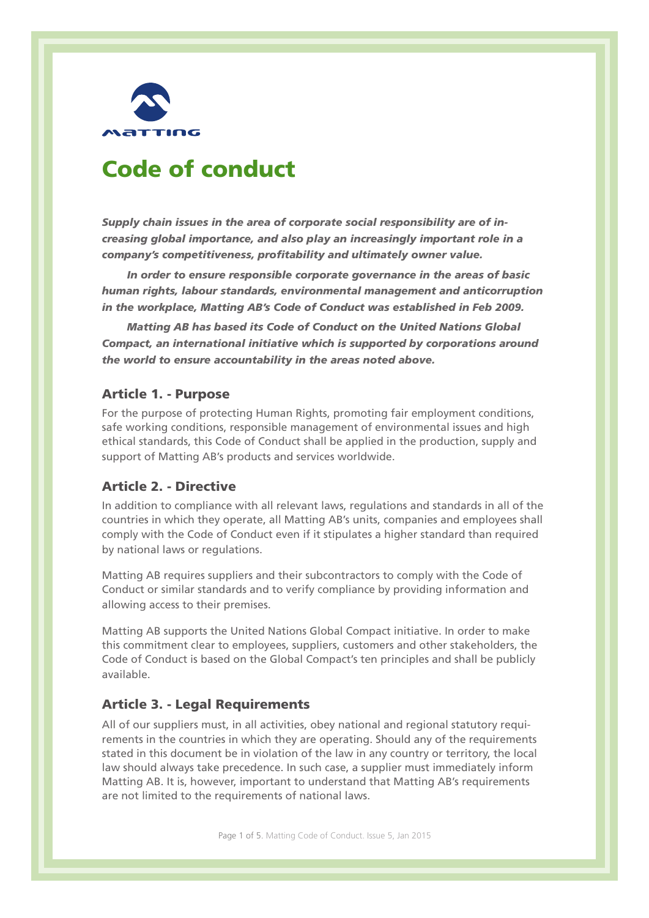

# Code of conduct

*Supply chain issues in the area of corporate social responsibility are of increasing global importance, and also play an increasingly important role in a company's competitiveness, profitability and ultimately owner value.*

*In order to ensure responsible corporate governance in the areas of basic human rights, labour standards, environmental management and anticorruption in the workplace, Matting AB's Code of Conduct was established in Feb 2009.*

*Matting AB has based its Code of Conduct on the United Nations Global Compact, an international initiative which is supported by corporations around the world to ensure accountability in the areas noted above.*

## Article 1. - Purpose

For the purpose of protecting Human Rights, promoting fair employment conditions, safe working conditions, responsible management of environmental issues and high ethical standards, this Code of Conduct shall be applied in the production, supply and support of Matting AB's products and services worldwide.

## Article 2. - Directive

In addition to compliance with all relevant laws, regulations and standards in all of the countries in which they operate, all Matting AB's units, companies and employees shall comply with the Code of Conduct even if it stipulates a higher standard than required by national laws or regulations.

Matting AB requires suppliers and their subcontractors to comply with the Code of Conduct or similar standards and to verify compliance by providing information and allowing access to their premises.

Matting AB supports the United Nations Global Compact initiative. In order to make this commitment clear to employees, suppliers, customers and other stakeholders, the Code of Conduct is based on the Global Compact's ten principles and shall be publicly available.

### Article 3. - Legal Requirements

All of our suppliers must, in all activities, obey national and regional statutory requirements in the countries in which they are operating. Should any of the requirements stated in this document be in violation of the law in any country or territory, the local law should always take precedence. In such case, a supplier must immediately inform Matting AB. It is, however, important to understand that Matting AB's requirements are not limited to the requirements of national laws.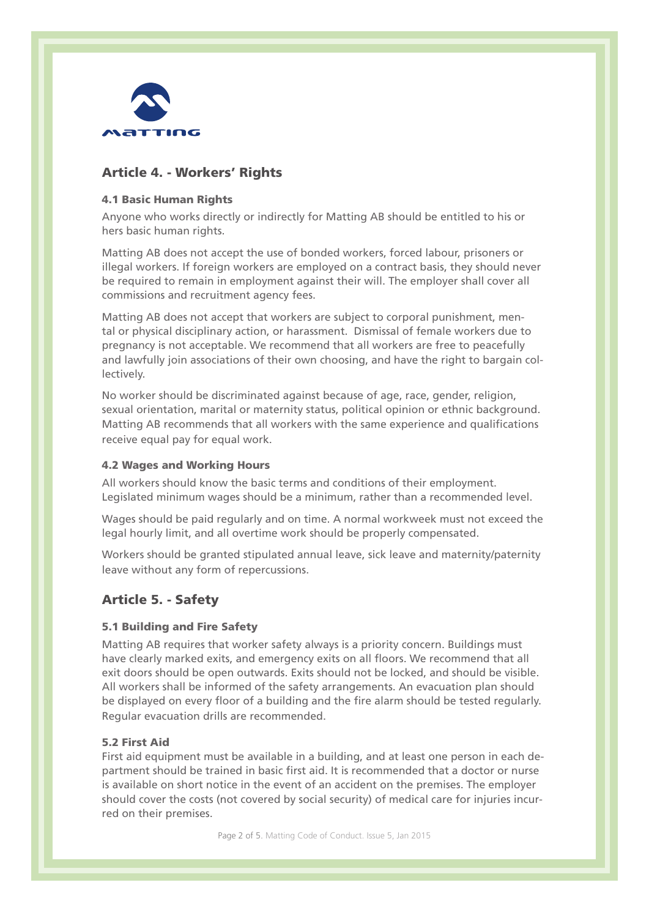

## Article 4. - Workers' Rights

## 4.1 Basic Human Rights

Anyone who works directly or indirectly for Matting AB should be entitled to his or hers basic human rights.

Matting AB does not accept the use of bonded workers, forced labour, prisoners or illegal workers. If foreign workers are employed on a contract basis, they should never be required to remain in employment against their will. The employer shall cover all commissions and recruitment agency fees.

Matting AB does not accept that workers are subject to corporal punishment, mental or physical disciplinary action, or harassment. Dismissal of female workers due to pregnancy is not acceptable. We recommend that all workers are free to peacefully and lawfully join associations of their own choosing, and have the right to bargain collectively.

No worker should be discriminated against because of age, race, gender, religion, sexual orientation, marital or maternity status, political opinion or ethnic background. Matting AB recommends that all workers with the same experience and qualifications receive equal pay for equal work.

## 4.2 Wages and Working Hours

All workers should know the basic terms and conditions of their employment. Legislated minimum wages should be a minimum, rather than a recommended level.

Wages should be paid regularly and on time. A normal workweek must not exceed the legal hourly limit, and all overtime work should be properly compensated.

Workers should be granted stipulated annual leave, sick leave and maternity/paternity leave without any form of repercussions.

# Article 5. - Safety

## 5.1 Building and Fire Safety

Matting AB requires that worker safety always is a priority concern. Buildings must have clearly marked exits, and emergency exits on all floors. We recommend that all exit doors should be open outwards. Exits should not be locked, and should be visible. All workers shall be informed of the safety arrangements. An evacuation plan should be displayed on every floor of a building and the fire alarm should be tested regularly. Regular evacuation drills are recommended.

### 5.2 First Aid

First aid equipment must be available in a building, and at least one person in each department should be trained in basic first aid. It is recommended that a doctor or nurse is available on short notice in the event of an accident on the premises. The employer should cover the costs (not covered by social security) of medical care for injuries incurred on their premises.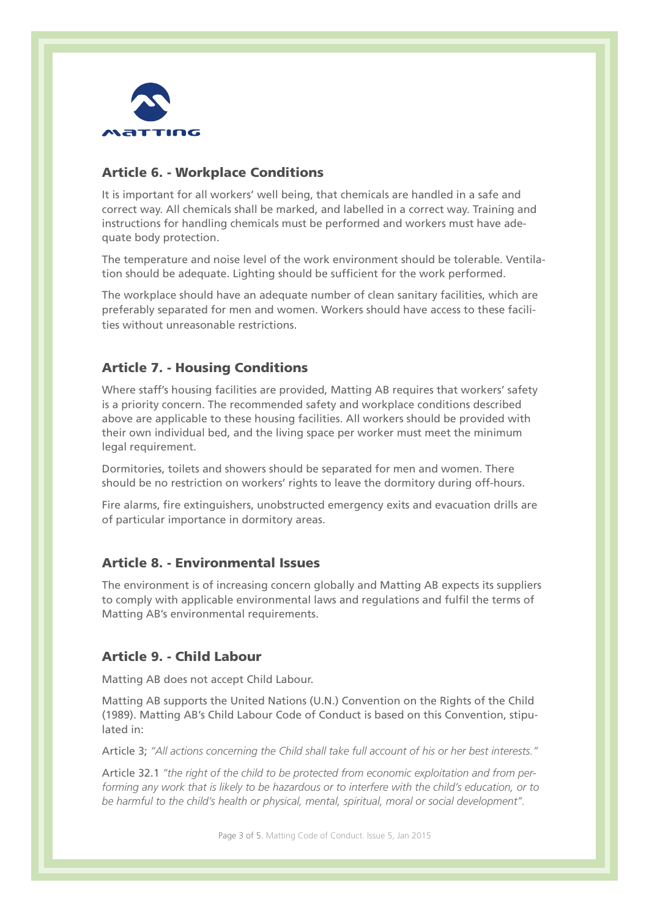

## Article 6. - Workplace Conditions

It is important for all workers' well being, that chemicals are handled in a safe and correct way. All chemicals shall be marked, and labelled in a correct way. Training and instructions for handling chemicals must be performed and workers must have adequate body protection.

The temperature and noise level of the work environment should be tolerable. Ventilation should be adequate. Lighting should be sufficient for the work performed.

The workplace should have an adequate number of clean sanitary facilities, which are preferably separated for men and women. Workers should have access to these facilities without unreasonable restrictions.

# Article 7. - Housing Conditions

Where staff's housing facilities are provided, Matting AB requires that workers' safety is a priority concern. The recommended safety and workplace conditions described above are applicable to these housing facilities. All workers should be provided with their own individual bed, and the living space per worker must meet the minimum legal requirement.

Dormitories, toilets and showers should be separated for men and women. There should be no restriction on workers' rights to leave the dormitory during off-hours.

Fire alarms, fire extinguishers, unobstructed emergency exits and evacuation drills are of particular importance in dormitory areas.

## Article 8. - Environmental Issues

The environment is of increasing concern globally and Matting AB expects its suppliers to comply with applicable environmental laws and regulations and fulfil the terms of Matting AB's environmental requirements.

## Article 9. - Child Labour

Matting AB does not accept Child Labour.

Matting AB supports the United Nations (U.N.) Convention on the Rights of the Child (1989). Matting AB's Child Labour Code of Conduct is based on this Convention, stipulated in:

Article 3; *''All actions concerning the Child shall take full account of his or her best interests.''*

Article 32.1 *''the right of the child to be protected from economic exploitation and from performing any work that is likely to be hazardous or to interfere with the child's education, or to be harmful to the child's health or physical, mental, spiritual, moral or social development''.*

Page 3 of 5. Matting Code of Conduct. Issue 5, Jan 2015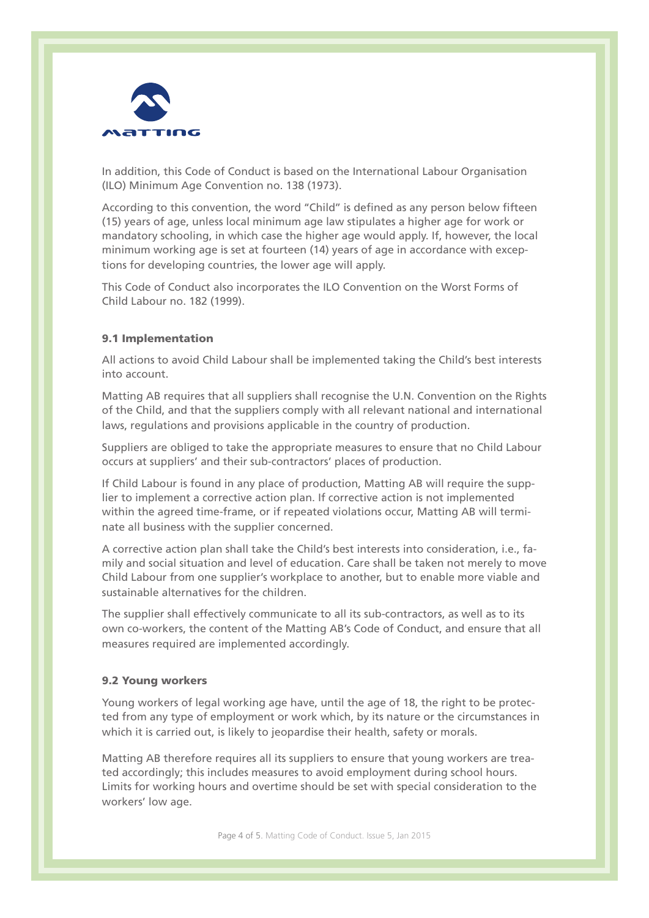

In addition, this Code of Conduct is based on the International Labour Organisation (ILO) Minimum Age Convention no. 138 (1973).

According to this convention, the word "Child" is defined as any person below fifteen (15) years of age, unless local minimum age law stipulates a higher age for work or mandatory schooling, in which case the higher age would apply. If, however, the local minimum working age is set at fourteen (14) years of age in accordance with exceptions for developing countries, the lower age will apply.

This Code of Conduct also incorporates the ILO Convention on the Worst Forms of Child Labour no. 182 (1999).

### 9.1 Implementation

All actions to avoid Child Labour shall be implemented taking the Child's best interests into account.

Matting AB requires that all suppliers shall recognise the U.N. Convention on the Rights of the Child, and that the suppliers comply with all relevant national and international laws, regulations and provisions applicable in the country of production.

Suppliers are obliged to take the appropriate measures to ensure that no Child Labour occurs at suppliers' and their sub-contractors' places of production.

If Child Labour is found in any place of production, Matting AB will require the supplier to implement a corrective action plan. If corrective action is not implemented within the agreed time-frame, or if repeated violations occur, Matting AB will terminate all business with the supplier concerned.

A corrective action plan shall take the Child's best interests into consideration, i.e., family and social situation and level of education. Care shall be taken not merely to move Child Labour from one supplier's workplace to another, but to enable more viable and sustainable alternatives for the children

The supplier shall effectively communicate to all its sub-contractors, as well as to its own co-workers, the content of the Matting AB's Code of Conduct, and ensure that all measures required are implemented accordingly.

#### 9.2 Young workers

Young workers of legal working age have, until the age of 18, the right to be protected from any type of employment or work which, by its nature or the circumstances in which it is carried out, is likely to jeopardise their health, safety or morals.

Matting AB therefore requires all its suppliers to ensure that young workers are treated accordingly; this includes measures to avoid employment during school hours. Limits for working hours and overtime should be set with special consideration to the workers' low age.

Page 4 of 5. Matting Code of Conduct. Issue 5, Jan 2015